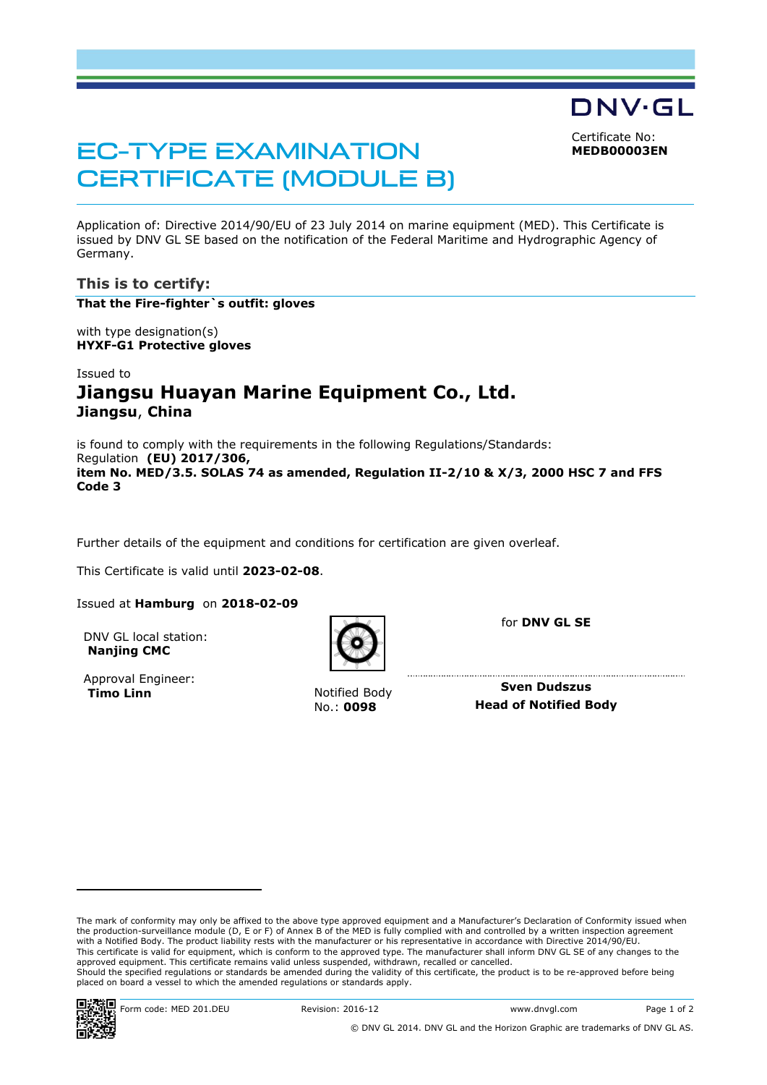<span id="page-0-0"></span>Certificate No: **MEDB00003EN**

DNV·GL

# EC-TYPE EXAMINATION CERTIFICATE (MODULE B)

Application of: Directive 2014/90/EU of 23 July 2014 on marine equipment (MED). This Certificate is issued by DNV GL SE based on the notification of the Federal Maritime and Hydrographic Agency of Germany.

## **This is to certify:**

**That the Fire-fighter`s outfit: gloves**

with type designation(s) **HYXF-G1 Protective gloves**

# Issued to **Jiangsu Huayan Marine Equipment Co., Ltd. Jiangsu**, **China**

is found to comply with the requirements in the following Regulations/Standards: Regulation **(EU) 2017/306, item No. MED/3.5. SOLAS 74 as amended, Regulation II-2/10 & X/3, 2000 HSC 7 and FFS Code 3**

Further details of the equipment and conditions for certification are given overleaf.

This Certificate is valid until **2023-02-08**.

Issued at **Hamburg** on **2018-02-09**

DNV GL local station: **Nanjing CMC**

Approval Engineer: **Timo Linn Notified Body** 

for **DNV GL SE**

**Sven Dudszus** No.: **0098 Head of Notified Body**

The mark of conformity may only be affixed to the above type approved equipment and a Manufacturer's Declaration of Conformity issued when<br>the production-surveillance module (D, E or F) of Annex B of the MED is fully compl with a Notified Body. The product liability rests with the manufacturer or his representative in accordance with Directive 2014/90/EU. This certificate is valid for equipment, which is conform to the approved type. The manufacturer shall inform DNV GL SE of any changes to the approved equipment. This certificate remains valid unless suspended, withdrawn, recalled or cancelled. Should the specified regulations or standards be amended during the validity of this certificate, the product is to be re-approved before being placed on board a vessel to which the amended regulations or standards apply.